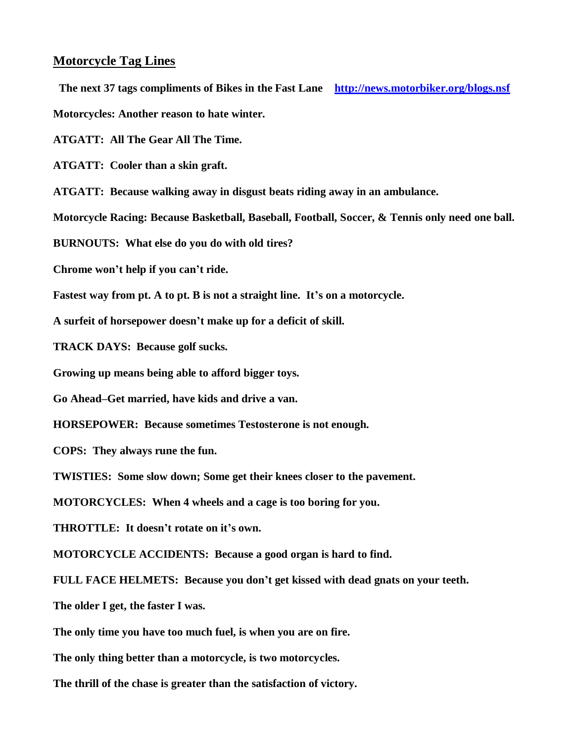## **Motorcycle Tag Lines**

 **The next 37 tags compliments of Bikes in the Fast Lane <http://news.motorbiker.org/blogs.nsf>**

**Motorcycles: Another reason to hate winter.**

**ATGATT: All The Gear All The Time.**

**ATGATT: Cooler than a skin graft.**

**ATGATT: Because walking away in disgust beats riding away in an ambulance.**

**Motorcycle Racing: Because Basketball, Baseball, Football, Soccer, & Tennis only need one ball.**

**BURNOUTS: What else do you do with old tires?**

**Chrome won't help if you can't ride.**

**Fastest way from pt. A to pt. B is not a straight line. It's on a motorcycle.**

**A surfeit of horsepower doesn't make up for a deficit of skill.**

**TRACK DAYS: Because golf sucks.**

**Growing up means being able to afford bigger toys.**

**Go Ahead–Get married, have kids and drive a van.**

**HORSEPOWER: Because sometimes Testosterone is not enough.**

**COPS: They always rune the fun.**

**TWISTIES: Some slow down; Some get their knees closer to the pavement.**

**MOTORCYCLES: When 4 wheels and a cage is too boring for you.**

**THROTTLE: It doesn't rotate on it's own.**

**MOTORCYCLE ACCIDENTS: Because a good organ is hard to find.**

**FULL FACE HELMETS: Because you don't get kissed with dead gnats on your teeth.**

**The older I get, the faster I was.**

**The only time you have too much fuel, is when you are on fire.**

**The only thing better than a motorcycle, is two motorcycles.**

**The thrill of the chase is greater than the satisfaction of victory.**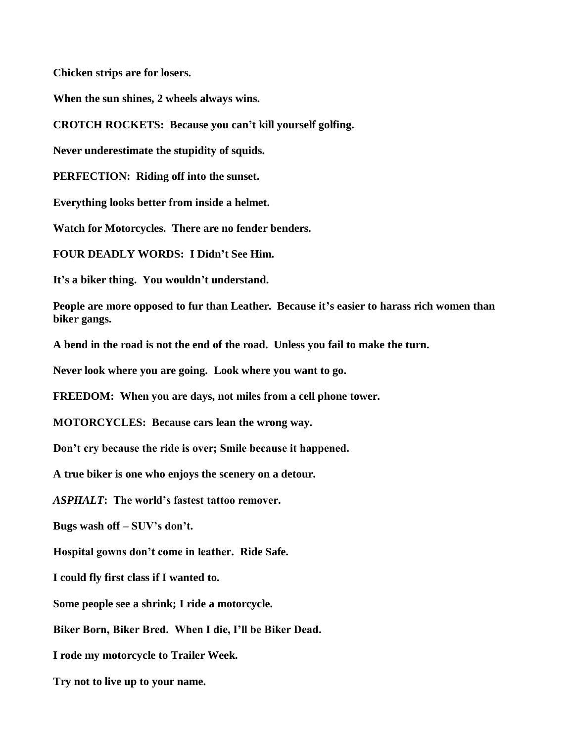**Chicken strips are for losers.**

**When the sun shines, 2 wheels always wins.**

**CROTCH ROCKETS: Because you can't kill yourself golfing.**

**Never underestimate the stupidity of squids.**

**PERFECTION: Riding off into the sunset.**

**Everything looks better from inside a helmet.**

**Watch for Motorcycles. There are no fender benders.**

**FOUR DEADLY WORDS: I Didn't See Him.**

**It's a biker thing. You wouldn't understand.**

**People are more opposed to fur than Leather. Because it's easier to harass rich women than biker gangs.**

**A bend in the road is not the end of the road. Unless you fail to make the turn.**

**Never look where you are going. Look where you want to go.**

**FREEDOM: When you are days, not miles from a cell phone tower.**

**MOTORCYCLES: Because cars lean the wrong way.**

**Don't cry because the ride is over; Smile because it happened.**

**A true biker is one who enjoys the scenery on a detour.**

*ASPHALT***: The world's fastest tattoo remover.**

**Bugs wash off – SUV's don't.**

**Hospital gowns don't come in leather. Ride Safe.**

**I could fly first class if I wanted to.**

**Some people see a shrink; I ride a motorcycle.**

**Biker Born, Biker Bred. When I die, I'll be Biker Dead.**

**I rode my motorcycle to Trailer Week.**

**Try not to live up to your name.**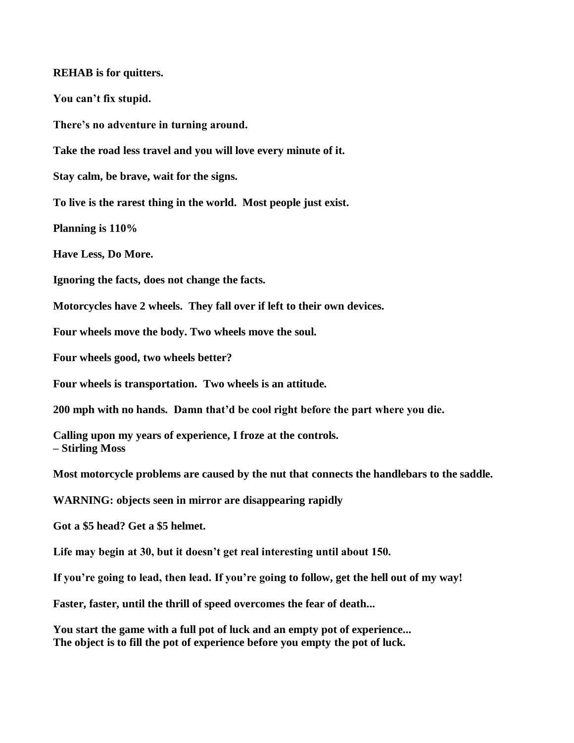## **REHAB is for quitters.**

**You can't fix stupid.**

**There's no adventure in turning around.**

**Take the road less travel and you will love every minute of it.**

**Stay calm, be brave, wait for the signs.**

**To live is the rarest thing in the world. Most people just exist.**

**Planning is 110%**

**Have Less, Do More.**

**Ignoring the facts, does not change the facts.**

**Motorcycles have 2 wheels. They fall over if left to their own devices.**

**Four wheels move the body. Two wheels move the soul.**

**Four wheels good, two wheels better?**

**Four wheels is transportation. Two wheels is an attitude.**

**200 mph with no hands. Damn that'd be cool right before the part where you die.**

**Calling upon my years of experience, I froze at the controls. – Stirling Moss**

**Most motorcycle problems are caused by the nut that connects the handlebars to the saddle.**

**WARNING: objects seen in mirror are disappearing rapidly**

**Got a \$5 head? Get a \$5 helmet.**

**Life may begin at 30, but it doesn't get real interesting until about 150.**

**If you're going to lead, then lead. If you're going to follow, get the hell out of my way!**

**Faster, faster, until the thrill of speed overcomes the fear of death...**

**You start the game with a full pot of luck and an empty pot of experience... The object is to fill the pot of experience before you empty the pot of luck.**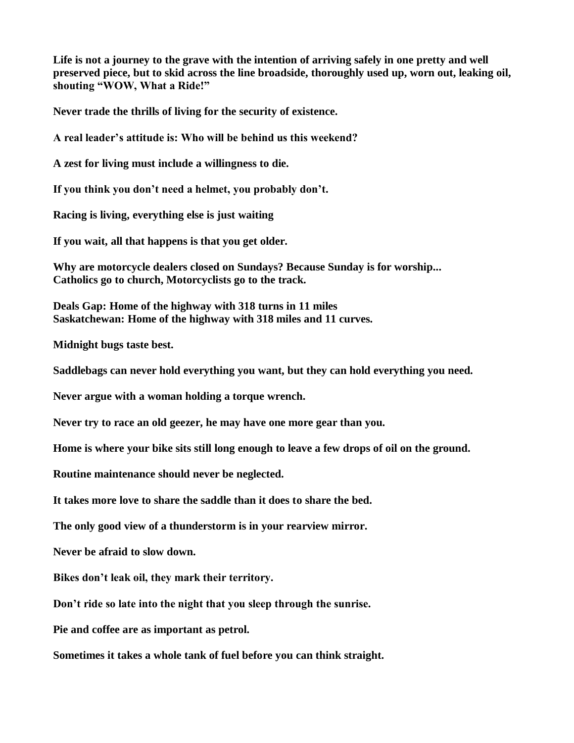**Life is not a journey to the grave with the intention of arriving safely in one pretty and well preserved piece, but to skid across the line broadside, thoroughly used up, worn out, leaking oil, shouting "WOW, What a Ride!"**

**Never trade the thrills of living for the security of existence.**

**A real leader's attitude is: Who will be behind us this weekend?** 

**A zest for living must include a willingness to die.**

**If you think you don't need a helmet, you probably don't.**

**Racing is living, everything else is just waiting**

**If you wait, all that happens is that you get older.**

**Why are motorcycle dealers closed on Sundays? Because Sunday is for worship... Catholics go to church, Motorcyclists go to the track.**

**Deals Gap: Home of the highway with 318 turns in 11 miles Saskatchewan: Home of the highway with 318 miles and 11 curves.**

**Midnight bugs taste best.**

**Saddlebags can never hold everything you want, but they can hold everything you need.**

**Never argue with a woman holding a torque wrench.**

**Never try to race an old geezer, he may have one more gear than you.**

**Home is where your bike sits still long enough to leave a few drops of oil on the ground.**

**Routine maintenance should never be neglected.**

**It takes more love to share the saddle than it does to share the bed.** 

**The only good view of a thunderstorm is in your rearview mirror.**

**Never be afraid to slow down.**

**Bikes don't leak oil, they mark their territory.**

**Don't ride so late into the night that you sleep through the sunrise.**

**Pie and coffee are as important as petrol.**

**Sometimes it takes a whole tank of fuel before you can think straight.**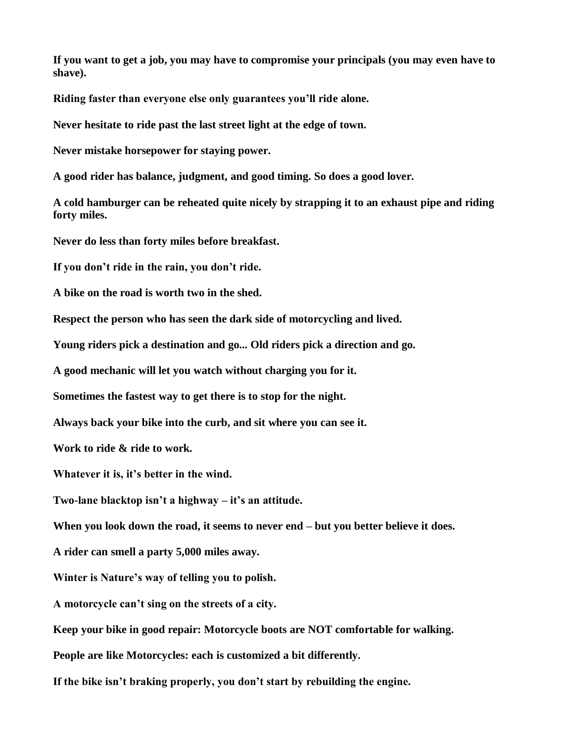**If you want to get a job, you may have to compromise your principals (you may even have to shave).**

**Riding faster than everyone else only guarantees you'll ride alone.**

**Never hesitate to ride past the last street light at the edge of town.**

**Never mistake horsepower for staying power.**

**A good rider has balance, judgment, and good timing. So does a good lover.**

**A cold hamburger can be reheated quite nicely by strapping it to an exhaust pipe and riding forty miles.**

**Never do less than forty miles before breakfast.**

**If you don't ride in the rain, you don't ride.**

**A bike on the road is worth two in the shed.**

**Respect the person who has seen the dark side of motorcycling and lived.**

**Young riders pick a destination and go... Old riders pick a direction and go.**

**A good mechanic will let you watch without charging you for it.**

**Sometimes the fastest way to get there is to stop for the night.**

**Always back your bike into the curb, and sit where you can see it.**

**Work to ride & ride to work.**

**Whatever it is, it's better in the wind.**

**Two-lane blacktop isn't a highway – it's an attitude.**

**When you look down the road, it seems to never end – but you better believe it does.**

**A rider can smell a party 5,000 miles away.**

**Winter is Nature's way of telling you to polish.**

**A motorcycle can't sing on the streets of a city.**

**Keep your bike in good repair: Motorcycle boots are NOT comfortable for walking.**

**People are like Motorcycles: each is customized a bit differently.**

**If the bike isn't braking properly, you don't start by rebuilding the engine.**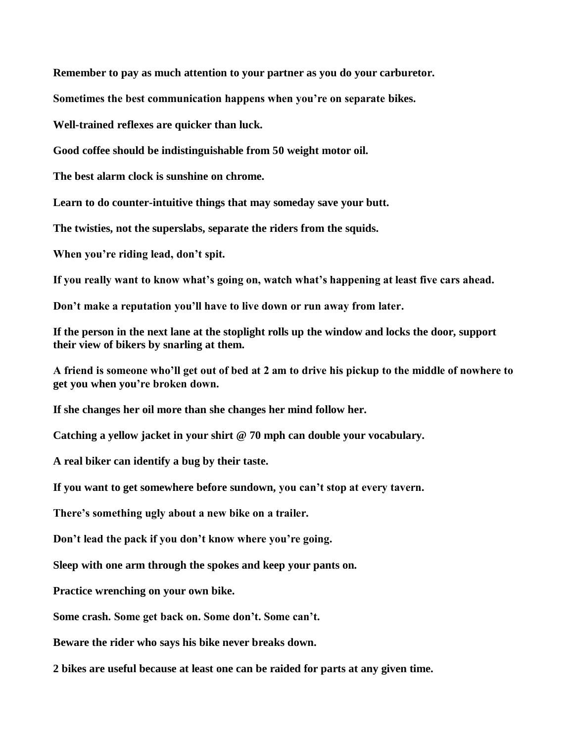**Remember to pay as much attention to your partner as you do your carburetor.**

**Sometimes the best communication happens when you're on separate bikes.**

**Well-trained reflexes are quicker than luck.**

**Good coffee should be indistinguishable from 50 weight motor oil.**

**The best alarm clock is sunshine on chrome.**

**Learn to do counter-intuitive things that may someday save your butt.**

**The twisties, not the superslabs, separate the riders from the squids.**

**When you're riding lead, don't spit.**

**If you really want to know what's going on, watch what's happening at least five cars ahead.**

**Don't make a reputation you'll have to live down or run away from later.**

**If the person in the next lane at the stoplight rolls up the window and locks the door, support their view of bikers by snarling at them.**

**A friend is someone who'll get out of bed at 2 am to drive his pickup to the middle of nowhere to get you when you're broken down.**

**If she changes her oil more than she changes her mind follow her.**

**Catching a yellow jacket in your shirt @ 70 mph can double your vocabulary.**

**A real biker can identify a bug by their taste.**

**If you want to get somewhere before sundown, you can't stop at every tavern.**

**There's something ugly about a new bike on a trailer.**

**Don't lead the pack if you don't know where you're going.**

**Sleep with one arm through the spokes and keep your pants on.**

**Practice wrenching on your own bike.**

**Some crash. Some get back on. Some don't. Some can't.**

**Beware the rider who says his bike never breaks down.**

**2 bikes are useful because at least one can be raided for parts at any given time.**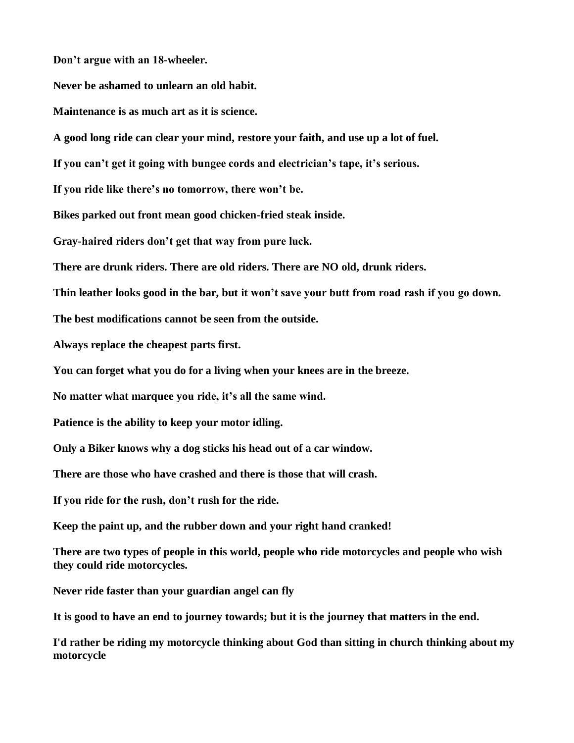**Don't argue with an 18-wheeler.**

**Never be ashamed to unlearn an old habit.**

**Maintenance is as much art as it is science.**

**A good long ride can clear your mind, restore your faith, and use up a lot of fuel.**

**If you can't get it going with bungee cords and electrician's tape, it's serious.**

**If you ride like there's no tomorrow, there won't be.**

**Bikes parked out front mean good chicken-fried steak inside.**

**Gray-haired riders don't get that way from pure luck.**

**There are drunk riders. There are old riders. There are NO old, drunk riders.**

**Thin leather looks good in the bar, but it won't save your butt from road rash if you go down.**

**The best modifications cannot be seen from the outside.**

**Always replace the cheapest parts first.**

**You can forget what you do for a living when your knees are in the breeze.**

**No matter what marquee you ride, it's all the same wind.**

**Patience is the ability to keep your motor idling.**

**Only a Biker knows why a dog sticks his head out of a car window.**

**There are those who have crashed and there is those that will crash.**

**If you ride for the rush, don't rush for the ride.**

**Keep the paint up, and the rubber down and your right hand cranked!**

**There are two types of people in this world, people who ride motorcycles and people who wish they could ride motorcycles.**

**Never ride faster than your guardian angel can fly**

**It is good to have an end to journey towards; but it is the journey that matters in the end.**

**I'd rather be riding my motorcycle thinking about God than sitting in church thinking about my motorcycle**